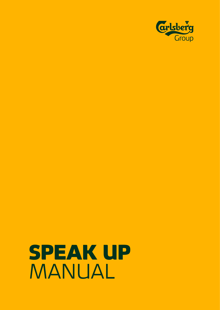

# SPEAK UP MANUAL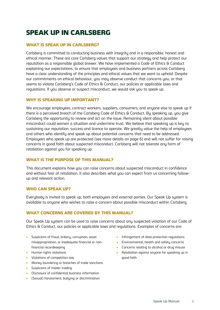# SPEAK UP IN CARLSBERG

# WHAT IS SPEAK UP IN CARLSBERG?

Carlsberg is committed to conducting business with integrity and in a responsible, honest and ethical manner. These are core Carlsberg values that support our strategy and help protect our reputation as a responsible global brewer. We have implemented a Code of Ethics & Conduct explaining our expectations, to ensure that employees and business partners across Carlsberg have a clear understanding of the principles and ethical values that we want to uphold. Despite our commitments on ethical behaviour, you may observe conduct that concerns you, or that seems to violate Carlsberg's Code of Ethics & Conduct, our policies or applicable laws and regulations. If you observe or suspect misconduct, we would ask you to speak up.

# WHY IS SPEAKING UP IMPORTANT?

We encourage employees, contract workers, suppliers, consumers, and anyone else to speak up if there is a perceived breach of the Carlsberg Code of Ethics & Conduct. By speaking up, you give Carlsberg the opportunity to review and act on the issue. Remaining silent about possible misconduct could worsen a situation and undermine trust. We believe that speaking up is key to sustaining our reputation, success and licence to operate. We greatly value the help of employees and others who identify and speak up about potential concerns that need to be addressed. Employees who speak up are protected (see more details on page 6) and will not suffer for raising concerns in good faith about suspected misconduct. Carlsberg will not tolerate any form of retaliation against you for speaking up.

#### WHAT IS THE PURPOSE OF THIS MANUAL?

This document explains *how* you can raise concerns about suspected misconduct in confidence and without fear of retaliation. It also describes *what* you can expect from us concerning followup and relevant action.

#### WHO CAN SPEAK UP?

Everybody is invited to speak up, both employees and external parties. Our Speak Up system is available to anyone who wishes to raise a concern about possible misconduct within Carlsberg.

#### WHAT CONCERNS ARE COVERED BY THIS MANUAL?

Our Speak Up sustem can be used to raise concerns about any suspected violation of our Code of Ethics & Conduct, our policies or applicable laws and regulations. Examples of concerns are:

- Suspicions of fraud, bribery, corruption, asset misappropriation, or inadequate financial or nonfinancial recordkeeping
- Human rights violations
- Violations of competition law
- Money laundering or breaches of trade sanctions
- Suspicions of insider trading
- Disclosure of confidential business information
- (Sexual) harassment, bullying or discrimination
- Infringement of data protection regulations
- Environmental, health and safety concerns
- Concerns relating to alcohol or drug misuse
- Retaliation against anyone for speaking up in good faith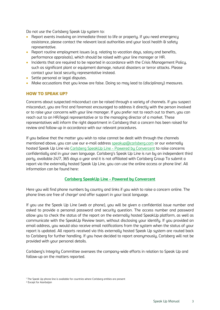Do not use the Carlsberg Speak Up sustem to:

- Report events involving an immediate threat to life or property. If you need emergency assistance, please contact the relevant local authorities and your local health & safety representative.
- Report routine employment issues (e.g. relating to vacation days, salary and benefits, performance appraisals), which should be raised with your line manager or HR.
- Incidents that are required to be reported in accordance with the Crisis Management Policy, such as significant plant or equipment damage, natural disasters or terror attacks. Please contact your local security representative instead.
- Settle personal or legal disputes.
- Make accusations that you know are false. Doing so may lead to (disciplinary) measures.

# HOW TO SPEAK UP?

Concerns about suspected misconduct can be raised through a variety of channels. If you suspect misconduct, you are first and foremost encouraged to address it directly with the person involved or to raise your concerns with your line manager. If you prefer not to reach out to them, you can reach out to an HR/legal representative or to the managing director of a market. These representatives will inform the right department in Carlsberg that a concern has been raised for review and follow-up in accordance with our relevant procedures.

If you believe that the matter you wish to raise cannot be dealt with through the channels mentioned above, you can use our e-mail address [speakup@carlsberg.com](mailto:speakup@carlsberg.com) or our externally hosted Speak Up Line via [Carlsberg SpeakUp Line -](https://app.convercent.com/en-US/LandingPage/aafe807e-5828-ec11-a985-000d3ab9f062) Powered by Convercent to raise concerns confidentially and in your own language. Carlsberg's Speak Up Line is run by an independent third party, available 24/7, 365 days a year and it is not affiliated with Carlsberg Group To submit a report via the externally hosted Speak Up Line, you can use the online access or phone line<sup>1</sup> . All information can be found here:

#### **[Carlsberg SpeakUp Line -](https://app.convercent.com/en-US/LandingPage/aafe807e-5828-ec11-a985-000d3ab9f062) Powered by Convercent**

Here you will find phone numbers by country and links if you wish to raise a concern online. The phone lines are free of charge<sup>2</sup> and offer support in your local language.

If you use the Speak Up Line (web or phone), you will be given a confidential issue number and asked to provide a personal password and security question. The access number and password allow you to check the status of the report on the externally hosted SpeakUp platform, as well as communicate with the SpeakUp Review team, without disclosing your identify. If you provided an email address, you would also receive email notifications from the system when the status of your report is updated. All reports received via this externally hosted Speak Up system are routed back to Carlsberg for further handling. If you have decided to report anonymously, Carlsberg will not be provided with your personal details.

Carlsberg's Integrity Committee oversees the company-wide efforts in relation to Speak Up and follow-up on the matters reported.

<sup>&</sup>lt;sup>1</sup> The Speak Up phone line is available for countries where Carlsberg entities are present

<sup>2</sup> Except for Azerbaijan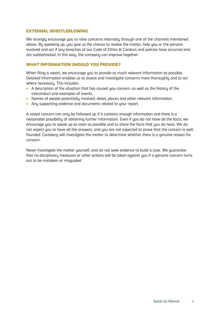#### EXTERNAL WHISTLEBLOWING

We strongly encourage you to raise concerns internally through one of the channels mentioned above. By speaking up, you give us the chance to review the matter, help you or the persons involved and act if any breaches of our Code of Ethics & Conduct and policies have occurred and are substantiated. In this way, the company can improve together.

# WHAT INFORMATION SHOULD YOU PROVIDE?

When filing a report, we encourage you to provide as much relevant information as possible. Detailed information enables us to assess and investigate concerns more thoroughly and to act where necessary. This includes:

- A description of the situation that has caused you concern, as well as the history of the misconduct and examples of events.
- Names of people potentially involved, dates, places and other relevant information.
- Any supporting evidence and documents related to your report.

A raised concern can only be followed up if it contains enough information and there is a reasonable possibility of obtaining further information. Even if you do not have all the facts, we encourage you to speak up as soon as possible and to share the facts that you do have. We do not expect you to have all the answers, and you are not expected to prove that the concern is well founded. Carlsberg will investigate the matter to determine whether there is a genuine reason for concern.

Never investigate the matter yourself, and do not seek evidence to build a case. We guarantee that no disciplinary measures or other actions will be taken against you if a genuine concern turns out to be mistaken or misguided.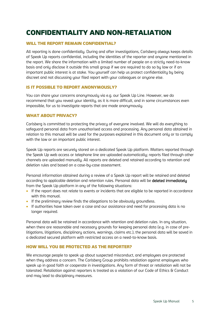# CONFIDENTIALITY AND NON-RETALIATION

# WILL THE REPORT REMAIN CONFIDENTIAL?

All reporting is done confidentially. During and after investigations, Carlsberg always keeps details of Speak Up reports confidential, including the identities of the reporter and anyone mentioned in the report. We share the information with a limited number of people on a strictly need-to-know basis and only disclose it outside this small group if we are required to do so by law or if an important public interest is at stake. You yourself can help us protect confidentiality by being discreet and not discussing your filed report with your colleagues or anyone else.

# IS IT POSSIBLE TO REPORT ANONYMOUSLY?

You can share your concerns anonymously via e.g. our Speak Up Line. However, we do recommend that you reveal your identity, as it is more difficult, and in some circumstances even impossible, for us to investigate reports that are made anonymously.

# WHAT ABOUT PRIVACY?

Carlsberg is committed to protecting the privacy of everyone involved. We will do everything to safeguard personal data from unauthorised access and processing. Any personal data obtained in relation to this manual will be used for the purposes explained in this document only or to comply with the law or an important public interest.

Speak Up reports are securely stored on a dedicated Speak Up platform. Matters reported through the Speak Up web access or telephone line are uploaded automatically; reports filed through other channels are uploaded manually. All reports are deleted and retained according to retention and deletion rules and based on a case-by-case assessment.

Personal information obtained during a review of a Speak Up report will be retained and deleted according to applicable deletion and retention rules. Personal data will be **deleted immediately** from the Speak Up platform in any of the following situations:

- If the report does not relate to events or incidents that are eligible to be reported in accordance with this manual.
- If the preliminary review finds the allegations to be obviously groundless.
- If authorities have taken over a case and our assistance and need for processing data is no longer required.

Personal data will be retained in accordance with retention and deletion rules. In any situation, when there are reasonable and necessary grounds for keeping personal data (e.g. in case of prelitigations, litigations, disciplinary actions, warnings, claims etc.), the personal data will be saved in a dedicated secured platform with restricted access on a need-to-know basis.

# HOW WILL YOU BE PROTECTED AS THE REPORTER?

We encourage people to speak up about suspected misconduct, and employees are protected when they address a concern. The Carlsberg Group prohibits retaliation against employees who speak up in good faith or cooperate in investigations. Any form of threat or retaliation will not be tolerated. Retaliation against reporters is treated as a violation of our Code of Ethics & Conduct and may lead to disciplinary measures.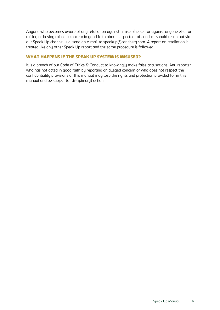Anyone who becomes aware of any retaliation against himself/herself or against anyone else for raising or having raised a concern in good faith about suspected misconduct should reach out via our Speak Up channel, e.g. send an e-mail to speakup@carlsberg.com. A report on retaliation is treated like any other Speak Up report and the same procedure is followed.

#### WHAT HAPPENS IF THE SPEAK UP SYSTEM IS MISUSED?

It is a breach of our Code of Ethics & Conduct to knowingly make false accusations. Any reporter who has not acted in good faith by reporting an alleged concern or who does not respect the confidentiality provisions of this manual may lose the rights and protection provided for in this manual and be subject to (disciplinary) action.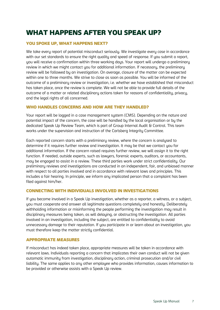# WHAT HAPPENS AFTER YOU SPEAK UP?

# YOU SPOKE UP, WHAT HAPPENS NEXT?

We take every report of potential misconduct seriously. We investigate every case in accordance with our set standards to ensure the right quality and speed of response. If you submit a report, you will receive a confirmation within three working days. Your report will undergo a preliminary review in which we might contact you for additional information. If necessary, the preliminary review will be followed by an investigation. On average, closure of the matter can be expected within one to three months. We strive to close as soon as possible. You will be informed of the outcome of a preliminary review or investigation, i.e. whether we have established that misconduct has taken place, once the review is complete. We will not be able to provide full details of the outcome of a matter or related disciplinary actions taken for reasons of confidentiality, privacy, and the legal rights of all concerned.

#### WHO HANDLES CONCERNS AND HOW ARE THEY HANDLED?

Your report will be logged in a case management system (CMS). Depending on the nature and potential impact of the concern, the case will be handled by the local organisation or by the dedicated Speak Up Review Team, which is part of Group Internal Audit & Control. This team works under the supervision and instruction of the Carlsberg Integrity Committee.

Each reported concern starts with a preliminary review, where the concern is analysed to determine if it requires further review and investigation. It may be that we contact you for additional information. If the concern raised requires further review, we will assign it to the right function. If needed, outside experts, such as lawyers, forensic experts, auditors, or accountants, may be engaged to assist in a review. These third parties work under strict confidentiality. Our preliminary reviews and investigations are conducted in an independent, fair, and unbiased manner with respect to all parties involved and in accordance with relevant laws and principles. This includes a fair hearing. In principle, we inform any implicated person that a complaint has been filed against him/her.

#### CONNECTING WITH INDIVIDUALS INVOLVED IN INVESTIGATIONS

If you become involved in a Speak Up investigation, whether as a reporter, a witness, or a subject, you must cooperate and answer all legitimate questions completely and honestly. Deliberately withholding information or misinforming the people performing the investigation may result in disciplinary measures being taken, as will delaying, or obstructing the investigation. All parties involved in an investigation, including the subject, are entitled to confidentiality to avoid unnecessary damage to their reputation. If you participate in or learn about an investigation, you must therefore keep the matter strictly confidential.

#### APPROPRIATE MEASURES

If misconduct has indeed taken place, appropriate measures will be taken in accordance with relevant laws. Individuals reporting a concern that implicates their own conduct will not be given automatic immunity from investigation, disciplinary action, criminal prosecution and/or civil liability. The same applies to any other employee who provides information, causes information to be provided or otherwise assists with a Speak Up review.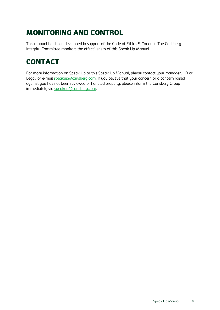# MONITORING AND CONTROL

This manual has been developed in support of the Code of Ethics & Conduct. The Carlsberg Integrity Committee monitors the effectiveness of this Speak Up Manual.

# **CONTACT**

For more information on Speak Up or this Speak Up Manual, please contact your manager, HR or Legal, or e-mail [speakup@carlsberg.com.](mailto:speakup@carlsberg.com) If you believe that your concern or a concern raised against you has not been reviewed or handled properly, please inform the Carlsberg Group immediately via [speakup@carlsberg.com.](mailto:speakup@carlsberg.com)